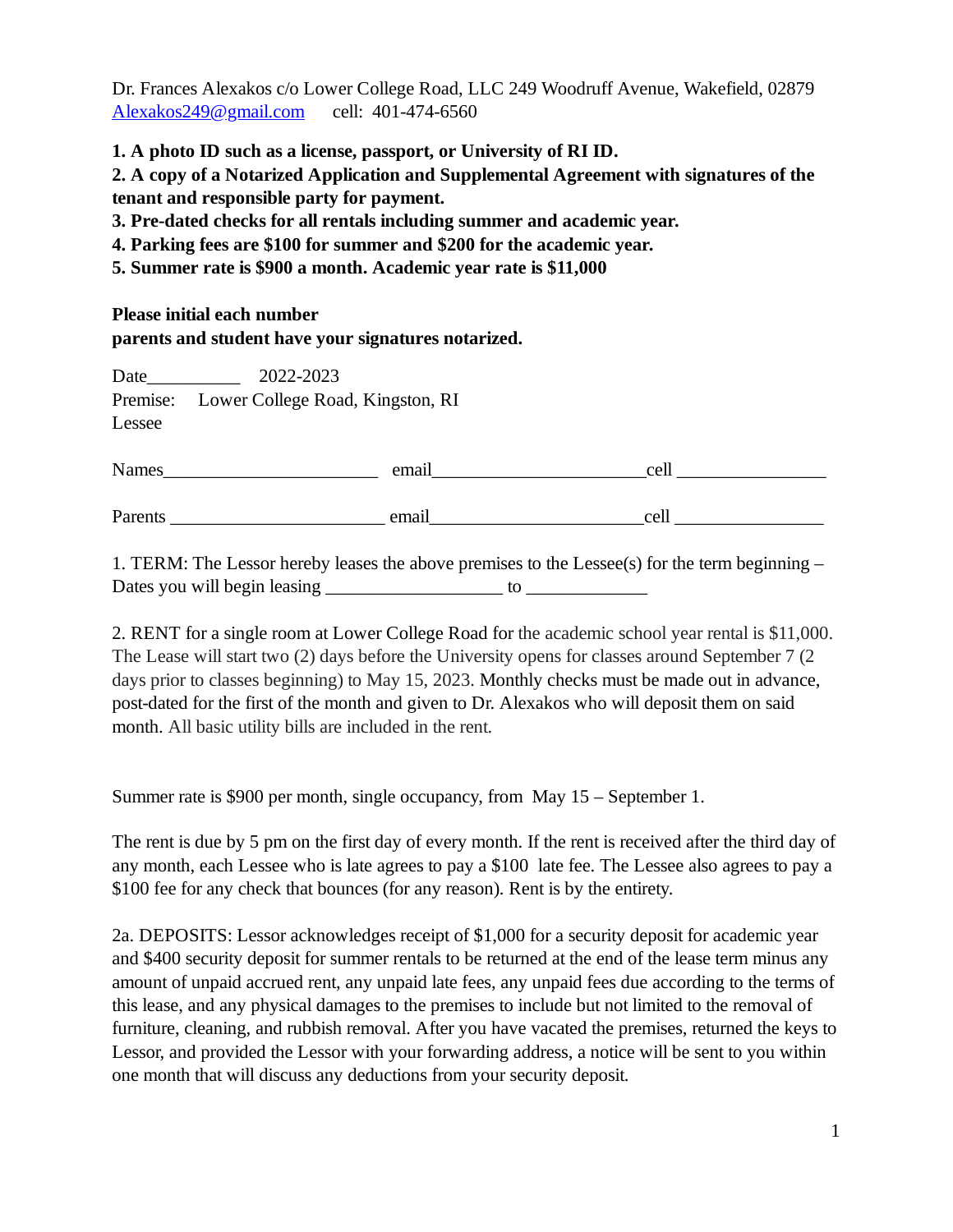Dr. Frances Alexakos c/o Lower College Road, LLC 249 Woodruff Avenue, Wakefield, 02879 [Alexakos249@gmail.com](mailto:Alexakos249@gmail.com) cell: 401-474-6560

**1. A photo ID such as a license, passport, or University of RI ID.**

**2. A copy of a Notarized Application and Supplemental Agreement with signatures of the tenant and responsible party for payment.**

- **3. Pre-dated checks for all rentals including summer and academic year.**
- **4. Parking fees are \$100 for summer and \$200 for the academic year.**
- **5. Summer rate is \$900 a month. Academic year rate is \$11,000**

#### **Please initial each number**

**parents and student have your signatures notarized.**

|        | 2022-2023                                 |      |  |
|--------|-------------------------------------------|------|--|
|        | Premise: Lower College Road, Kingston, RI |      |  |
| Lessee |                                           |      |  |
| Names  | email                                     | cell |  |
|        | email                                     | cell |  |

1. TERM: The Lessor hereby leases the above premises to the Lessee(s) for the term beginning – Dates you will begin leasing \_\_\_\_\_\_\_\_\_\_\_\_\_\_\_\_\_\_\_ to \_\_\_\_\_\_\_\_\_\_\_\_\_

2. RENT for a single room at Lower College Road for the academic school year rental is \$11,000. The Lease will start two (2) days before the University opens for classes around September 7 (2 days prior to classes beginning) to May 15, 2023. Monthly checks must be made out in advance, post-dated for the first of the month and given to Dr. Alexakos who will deposit them on said month. All basic utility bills are included in the rent.

Summer rate is \$900 per month, single occupancy, from May 15 – September 1.

The rent is due by 5 pm on the first day of every month. If the rent is received after the third day of any month, each Lessee who is late agrees to pay a \$100 late fee. The Lessee also agrees to pay a \$100 fee for any check that bounces (for any reason). Rent is by the entirety.

2a. DEPOSITS: Lessor acknowledges receipt of \$1,000 for a security deposit for academic year and \$400 security deposit for summer rentals to be returned at the end of the lease term minus any amount of unpaid accrued rent, any unpaid late fees, any unpaid fees due according to the terms of this lease, and any physical damages to the premises to include but not limited to the removal of furniture, cleaning, and rubbish removal. After you have vacated the premises, returned the keys to Lessor, and provided the Lessor with your forwarding address, a notice will be sent to you within one month that will discuss any deductions from your security deposit.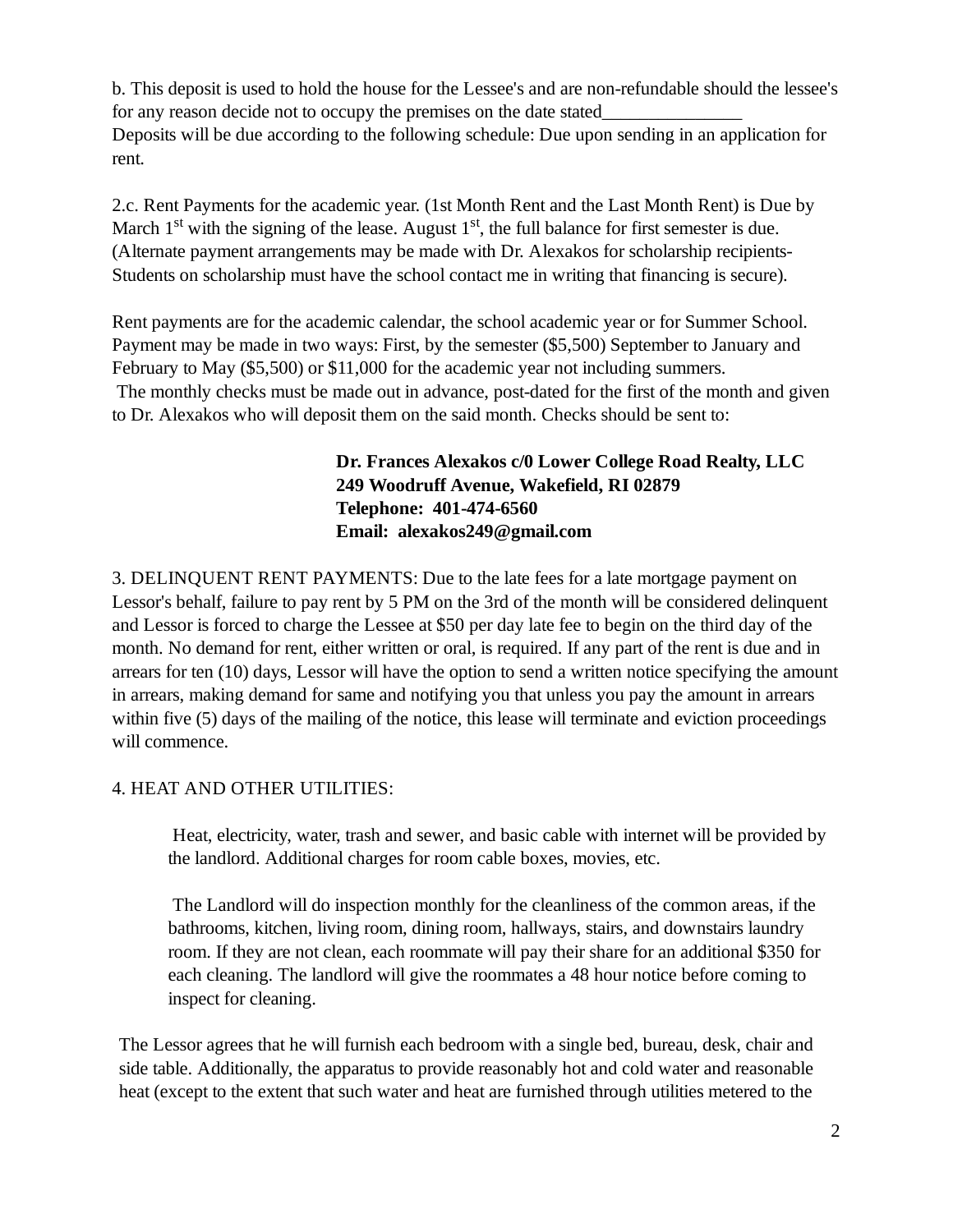b. This deposit is used to hold the house for the Lessee's and are non-refundable should the lessee's for any reason decide not to occupy the premises on the date stated Deposits will be due according to the following schedule: Due upon sending in an application for rent.

2.c. Rent Payments for the academic year. (1st Month Rent and the Last Month Rent) is Due by March  $1<sup>st</sup>$  with the signing of the lease. August  $1<sup>st</sup>$ , the full balance for first semester is due. (Alternate payment arrangements may be made with Dr. Alexakos for scholarship recipients-Students on scholarship must have the school contact me in writing that financing is secure).

Rent payments are for the academic calendar, the school academic year or for Summer School. Payment may be made in two ways: First, by the semester (\$5,500) September to January and February to May (\$5,500) or \$11,000 for the academic year not including summers.

The monthly checks must be made out in advance, post-dated for the first of the month and given to Dr. Alexakos who will deposit them on the said month. Checks should be sent to:

### **Dr. Frances Alexakos c/0 Lower College Road Realty, LLC 249 Woodruff Avenue, Wakefield, RI 02879 Telephone: 401-474-6560 Email: alexakos249@gmail.com**

3. DELINQUENT RENT PAYMENTS: Due to the late fees for a late mortgage payment on Lessor's behalf, failure to pay rent by 5 PM on the 3rd of the month will be considered delinquent and Lessor is forced to charge the Lessee at \$50 per day late fee to begin on the third day of the month. No demand for rent, either written or oral, is required. If any part of the rent is due and in arrears for ten (10) days, Lessor will have the option to send a written notice specifying the amount in arrears, making demand for same and notifying you that unless you pay the amount in arrears within five (5) days of the mailing of the notice, this lease will terminate and eviction proceedings will commence.

### 4. HEAT AND OTHER UTILITIES:

 Heat, electricity, water, trash and sewer, and basic cable with internet will be provided by the landlord. Additional charges for room cable boxes, movies, etc.

The Landlord will do inspection monthly for the cleanliness of the common areas, if the bathrooms, kitchen, living room, dining room, hallways, stairs, and downstairs laundry room. If they are not clean, each roommate will pay their share for an additional \$350 for each cleaning. The landlord will give the roommates a 48 hour notice before coming to inspect for cleaning.

The Lessor agrees that he will furnish each bedroom with a single bed, bureau, desk, chair and side table. Additionally, the apparatus to provide reasonably hot and cold water and reasonable heat (except to the extent that such water and heat are furnished through utilities metered to the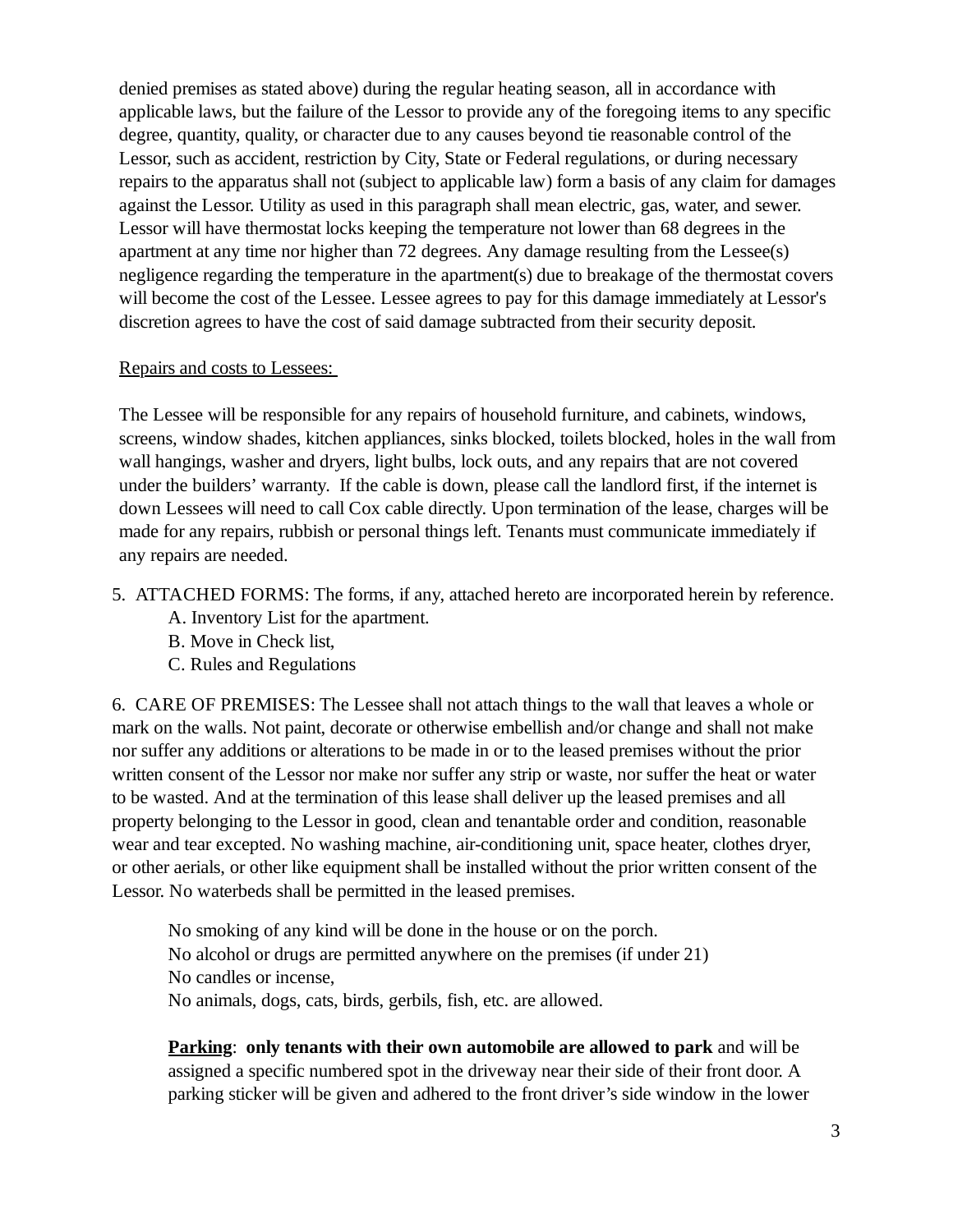denied premises as stated above) during the regular heating season, all in accordance with applicable laws, but the failure of the Lessor to provide any of the foregoing items to any specific degree, quantity, quality, or character due to any causes beyond tie reasonable control of the Lessor, such as accident, restriction by City, State or Federal regulations, or during necessary repairs to the apparatus shall not (subject to applicable law) form a basis of any claim for damages against the Lessor. Utility as used in this paragraph shall mean electric, gas, water, and sewer. Lessor will have thermostat locks keeping the temperature not lower than 68 degrees in the apartment at any time nor higher than 72 degrees. Any damage resulting from the Lessee(s) negligence regarding the temperature in the apartment(s) due to breakage of the thermostat covers will become the cost of the Lessee. Lessee agrees to pay for this damage immediately at Lessor's discretion agrees to have the cost of said damage subtracted from their security deposit.

#### Repairs and costs to Lessees:

The Lessee will be responsible for any repairs of household furniture, and cabinets, windows, screens, window shades, kitchen appliances, sinks blocked, toilets blocked, holes in the wall from wall hangings, washer and dryers, light bulbs, lock outs, and any repairs that are not covered under the builders' warranty. If the cable is down, please call the landlord first, if the internet is down Lessees will need to call Cox cable directly. Upon termination of the lease, charges will be made for any repairs, rubbish or personal things left. Tenants must communicate immediately if any repairs are needed.

- 5. ATTACHED FORMS: The forms, if any, attached hereto are incorporated herein by reference. A. Inventory List for the apartment.
	- B. Move in Check list,
	- C. Rules and Regulations

6. CARE OF PREMISES: The Lessee shall not attach things to the wall that leaves a whole or mark on the walls. Not paint, decorate or otherwise embellish and/or change and shall not make nor suffer any additions or alterations to be made in or to the leased premises without the prior written consent of the Lessor nor make nor suffer any strip or waste, nor suffer the heat or water to be wasted. And at the termination of this lease shall deliver up the leased premises and all property belonging to the Lessor in good, clean and tenantable order and condition, reasonable wear and tear excepted. No washing machine, air-conditioning unit, space heater, clothes dryer, or other aerials, or other like equipment shall be installed without the prior written consent of the Lessor. No waterbeds shall be permitted in the leased premises.

No smoking of any kind will be done in the house or on the porch. No alcohol or drugs are permitted anywhere on the premises (if under 21) No candles or incense, No animals, dogs, cats, birds, gerbils, fish, etc. are allowed.

**Parking**: **only tenants with their own automobile are allowed to park** and will be assigned a specific numbered spot in the driveway near their side of their front door. A parking sticker will be given and adhered to the front driver's side window in the lower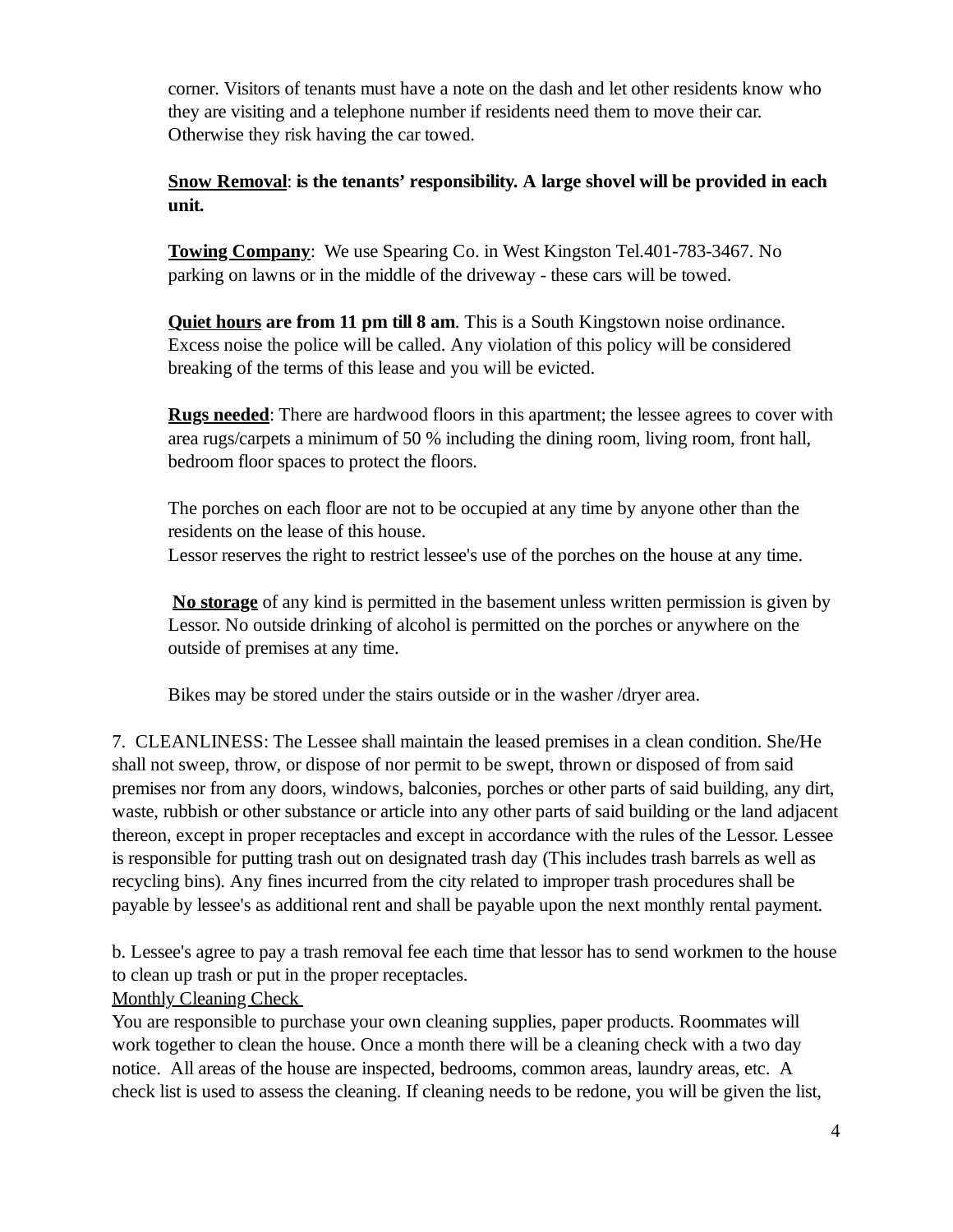corner. Visitors of tenants must have a note on the dash and let other residents know who they are visiting and a telephone number if residents need them to move their car. Otherwise they risk having the car towed.

### **Snow Removal**: **is the tenants' responsibility. A large shovel will be provided in each unit.**

**Towing Company**: We use Spearing Co. in West Kingston Tel.401-783-3467. No parking on lawns or in the middle of the driveway - these cars will be towed.

**Quiet hours are from 11 pm till 8 am**. This is a South Kingstown noise ordinance. Excess noise the police will be called. Any violation of this policy will be considered breaking of the terms of this lease and you will be evicted.

**Rugs needed**: There are hardwood floors in this apartment; the lessee agrees to cover with area rugs/carpets a minimum of 50 % including the dining room, living room, front hall, bedroom floor spaces to protect the floors.

The porches on each floor are not to be occupied at any time by anyone other than the residents on the lease of this house.

Lessor reserves the right to restrict lessee's use of the porches on the house at any time.

**No storage** of any kind is permitted in the basement unless written permission is given by Lessor. No outside drinking of alcohol is permitted on the porches or anywhere on the outside of premises at any time.

Bikes may be stored under the stairs outside or in the washer /dryer area.

7. CLEANLINESS: The Lessee shall maintain the leased premises in a clean condition. She/He shall not sweep, throw, or dispose of nor permit to be swept, thrown or disposed of from said premises nor from any doors, windows, balconies, porches or other parts of said building, any dirt, waste, rubbish or other substance or article into any other parts of said building or the land adjacent thereon, except in proper receptacles and except in accordance with the rules of the Lessor. Lessee is responsible for putting trash out on designated trash day (This includes trash barrels as well as recycling bins). Any fines incurred from the city related to improper trash procedures shall be payable by lessee's as additional rent and shall be payable upon the next monthly rental payment.

b. Lessee's agree to pay a trash removal fee each time that lessor has to send workmen to the house to clean up trash or put in the proper receptacles.

Monthly Cleaning Check

You are responsible to purchase your own cleaning supplies, paper products. Roommates will work together to clean the house. Once a month there will be a cleaning check with a two day notice. All areas of the house are inspected, bedrooms, common areas, laundry areas, etc. A check list is used to assess the cleaning. If cleaning needs to be redone, you will be given the list,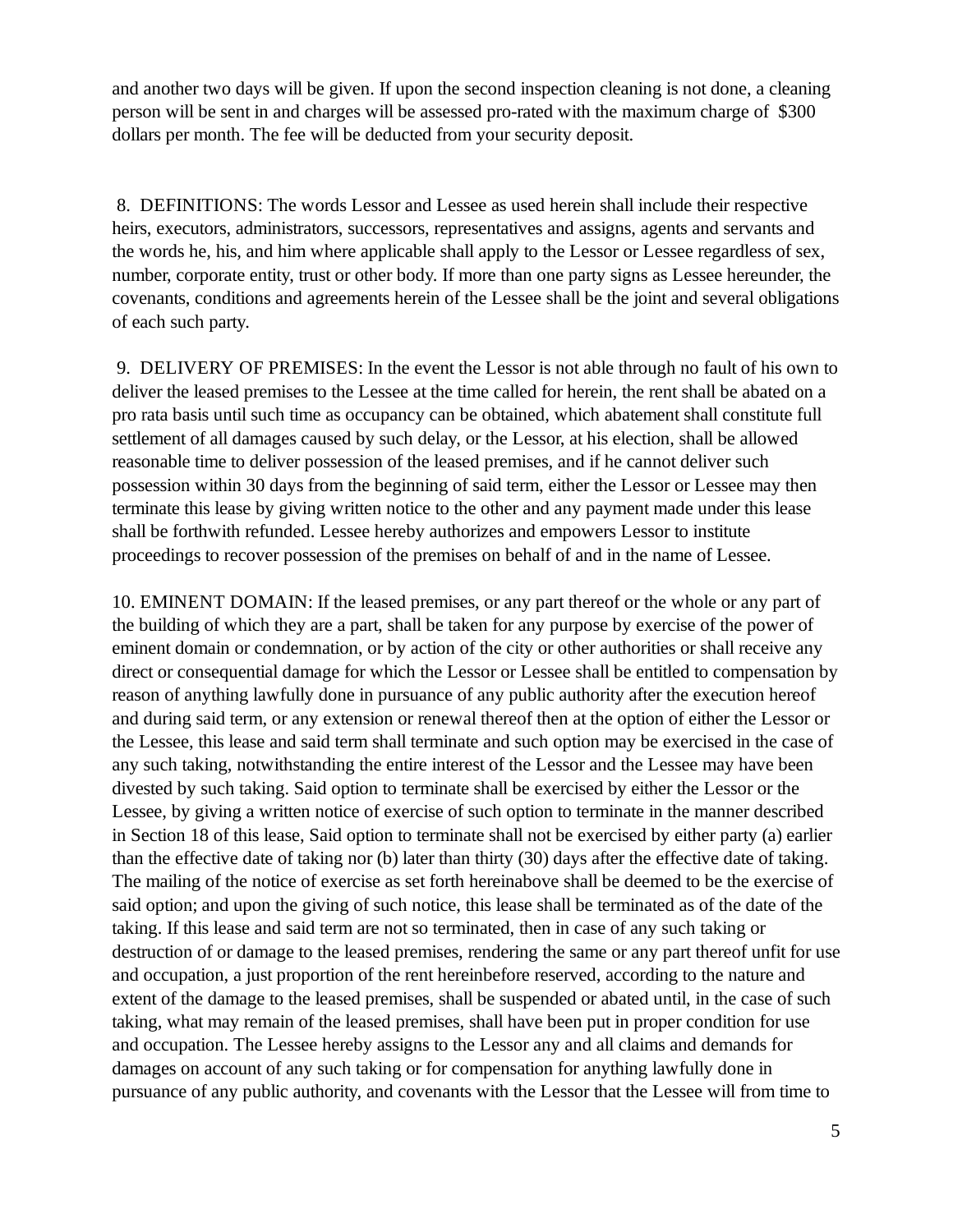and another two days will be given. If upon the second inspection cleaning is not done, a cleaning person will be sent in and charges will be assessed pro-rated with the maximum charge of \$300 dollars per month. The fee will be deducted from your security deposit.

 8. DEFINITIONS: The words Lessor and Lessee as used herein shall include their respective heirs, executors, administrators, successors, representatives and assigns, agents and servants and the words he, his, and him where applicable shall apply to the Lessor or Lessee regardless of sex, number, corporate entity, trust or other body. If more than one party signs as Lessee hereunder, the covenants, conditions and agreements herein of the Lessee shall be the joint and several obligations of each such party.

 9. DELIVERY OF PREMISES: In the event the Lessor is not able through no fault of his own to deliver the leased premises to the Lessee at the time called for herein, the rent shall be abated on a pro rata basis until such time as occupancy can be obtained, which abatement shall constitute full settlement of all damages caused by such delay, or the Lessor, at his election, shall be allowed reasonable time to deliver possession of the leased premises, and if he cannot deliver such possession within 30 days from the beginning of said term, either the Lessor or Lessee may then terminate this lease by giving written notice to the other and any payment made under this lease shall be forthwith refunded. Lessee hereby authorizes and empowers Lessor to institute proceedings to recover possession of the premises on behalf of and in the name of Lessee.

10. EMINENT DOMAIN: If the leased premises, or any part thereof or the whole or any part of the building of which they are a part, shall be taken for any purpose by exercise of the power of eminent domain or condemnation, or by action of the city or other authorities or shall receive any direct or consequential damage for which the Lessor or Lessee shall be entitled to compensation by reason of anything lawfully done in pursuance of any public authority after the execution hereof and during said term, or any extension or renewal thereof then at the option of either the Lessor or the Lessee, this lease and said term shall terminate and such option may be exercised in the case of any such taking, notwithstanding the entire interest of the Lessor and the Lessee may have been divested by such taking. Said option to terminate shall be exercised by either the Lessor or the Lessee, by giving a written notice of exercise of such option to terminate in the manner described in Section 18 of this lease, Said option to terminate shall not be exercised by either party (a) earlier than the effective date of taking nor (b) later than thirty (30) days after the effective date of taking. The mailing of the notice of exercise as set forth hereinabove shall be deemed to be the exercise of said option; and upon the giving of such notice, this lease shall be terminated as of the date of the taking. If this lease and said term are not so terminated, then in case of any such taking or destruction of or damage to the leased premises, rendering the same or any part thereof unfit for use and occupation, a just proportion of the rent hereinbefore reserved, according to the nature and extent of the damage to the leased premises, shall be suspended or abated until, in the case of such taking, what may remain of the leased premises, shall have been put in proper condition for use and occupation. The Lessee hereby assigns to the Lessor any and all claims and demands for damages on account of any such taking or for compensation for anything lawfully done in pursuance of any public authority, and covenants with the Lessor that the Lessee will from time to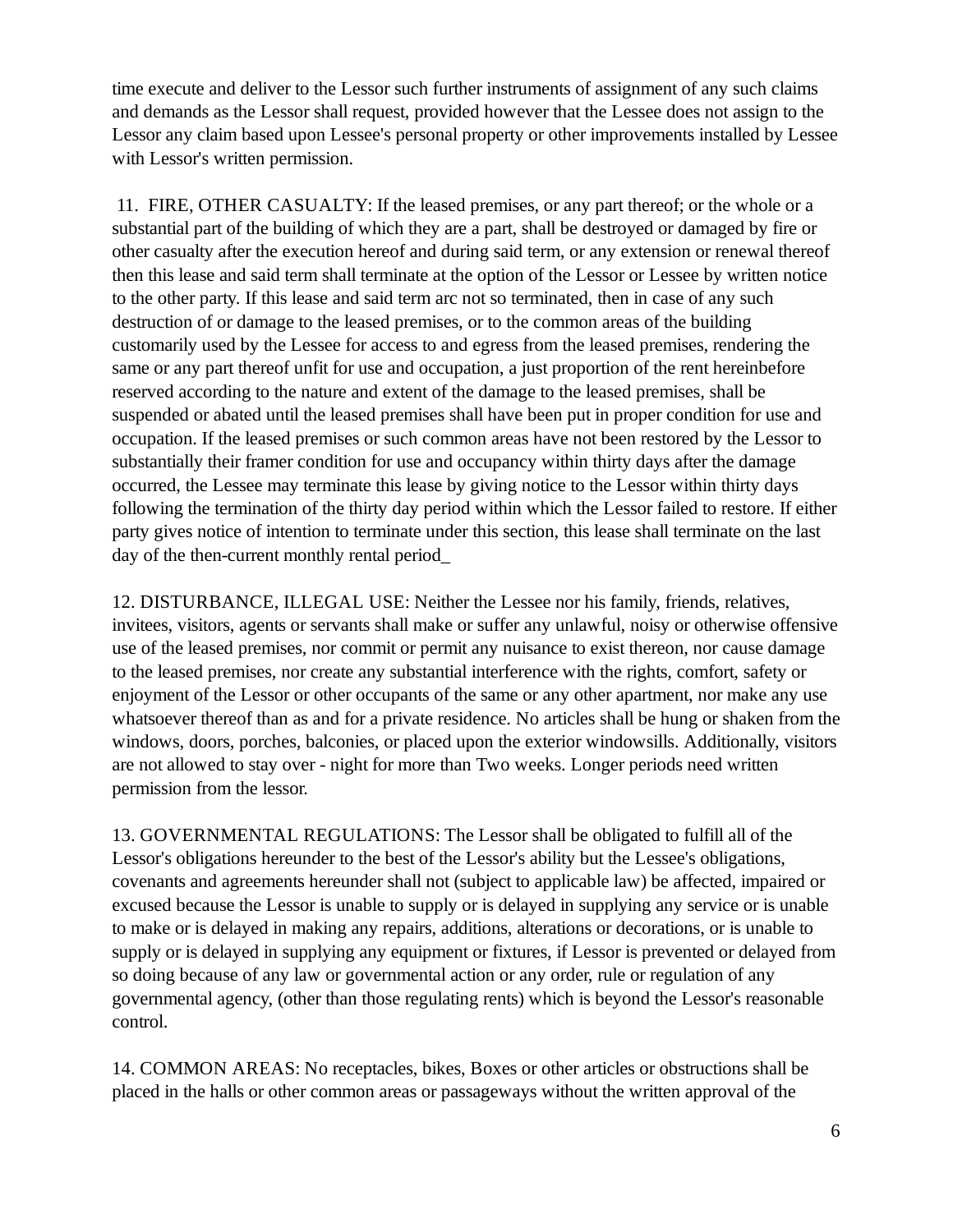time execute and deliver to the Lessor such further instruments of assignment of any such claims and demands as the Lessor shall request, provided however that the Lessee does not assign to the Lessor any claim based upon Lessee's personal property or other improvements installed by Lessee with Lessor's written permission.

 11. FIRE, OTHER CASUALTY: If the leased premises, or any part thereof; or the whole or a substantial part of the building of which they are a part, shall be destroyed or damaged by fire or other casualty after the execution hereof and during said term, or any extension or renewal thereof then this lease and said term shall terminate at the option of the Lessor or Lessee by written notice to the other party. If this lease and said term arc not so terminated, then in case of any such destruction of or damage to the leased premises, or to the common areas of the building customarily used by the Lessee for access to and egress from the leased premises, rendering the same or any part thereof unfit for use and occupation, a just proportion of the rent hereinbefore reserved according to the nature and extent of the damage to the leased premises, shall be suspended or abated until the leased premises shall have been put in proper condition for use and occupation. If the leased premises or such common areas have not been restored by the Lessor to substantially their framer condition for use and occupancy within thirty days after the damage occurred, the Lessee may terminate this lease by giving notice to the Lessor within thirty days following the termination of the thirty day period within which the Lessor failed to restore. If either party gives notice of intention to terminate under this section, this lease shall terminate on the last day of the then-current monthly rental period\_

12. DISTURBANCE, ILLEGAL USE: Neither the Lessee nor his family, friends, relatives, invitees, visitors, agents or servants shall make or suffer any unlawful, noisy or otherwise offensive use of the leased premises, nor commit or permit any nuisance to exist thereon, nor cause damage to the leased premises, nor create any substantial interference with the rights, comfort, safety or enjoyment of the Lessor or other occupants of the same or any other apartment, nor make any use whatsoever thereof than as and for a private residence. No articles shall be hung or shaken from the windows, doors, porches, balconies, or placed upon the exterior windowsills. Additionally, visitors are not allowed to stay over - night for more than Two weeks. Longer periods need written permission from the lessor.

13. GOVERNMENTAL REGULATIONS: The Lessor shall be obligated to fulfill all of the Lessor's obligations hereunder to the best of the Lessor's ability but the Lessee's obligations, covenants and agreements hereunder shall not (subject to applicable law) be affected, impaired or excused because the Lessor is unable to supply or is delayed in supplying any service or is unable to make or is delayed in making any repairs, additions, alterations or decorations, or is unable to supply or is delayed in supplying any equipment or fixtures, if Lessor is prevented or delayed from so doing because of any law or governmental action or any order, rule or regulation of any governmental agency, (other than those regulating rents) which is beyond the Lessor's reasonable control.

14. COMMON AREAS: No receptacles, bikes, Boxes or other articles or obstructions shall be placed in the halls or other common areas or passageways without the written approval of the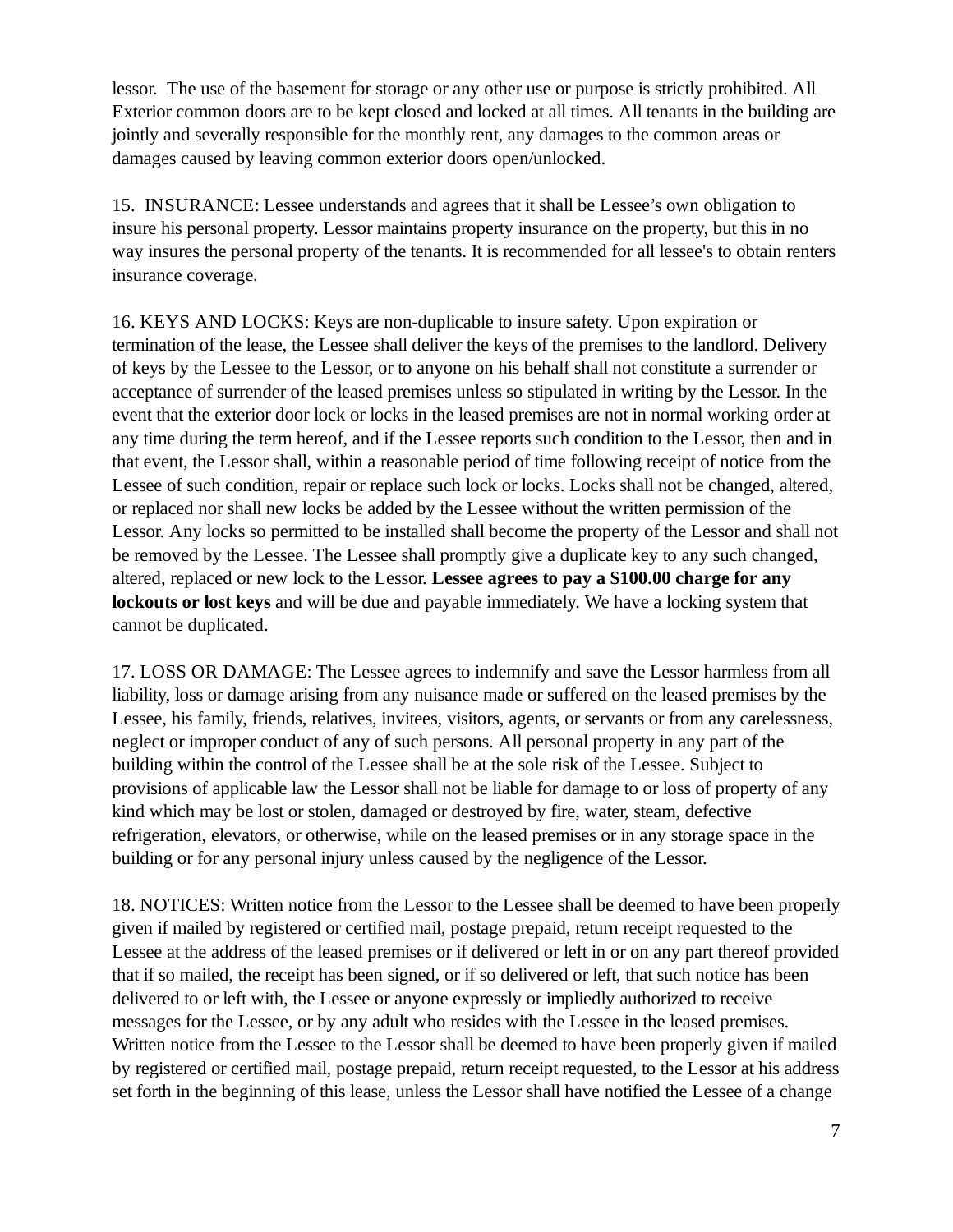lessor. The use of the basement for storage or any other use or purpose is strictly prohibited. All Exterior common doors are to be kept closed and locked at all times. All tenants in the building are jointly and severally responsible for the monthly rent, any damages to the common areas or damages caused by leaving common exterior doors open/unlocked.

15. INSURANCE: Lessee understands and agrees that it shall be Lessee's own obligation to insure his personal property. Lessor maintains property insurance on the property, but this in no way insures the personal property of the tenants. It is recommended for all lessee's to obtain renters insurance coverage.

16. KEYS AND LOCKS: Keys are non-duplicable to insure safety. Upon expiration or termination of the lease, the Lessee shall deliver the keys of the premises to the landlord. Delivery of keys by the Lessee to the Lessor, or to anyone on his behalf shall not constitute a surrender or acceptance of surrender of the leased premises unless so stipulated in writing by the Lessor. In the event that the exterior door lock or locks in the leased premises are not in normal working order at any time during the term hereof, and if the Lessee reports such condition to the Lessor, then and in that event, the Lessor shall, within a reasonable period of time following receipt of notice from the Lessee of such condition, repair or replace such lock or locks. Locks shall not be changed, altered, or replaced nor shall new locks be added by the Lessee without the written permission of the Lessor. Any locks so permitted to be installed shall become the property of the Lessor and shall not be removed by the Lessee. The Lessee shall promptly give a duplicate key to any such changed, altered, replaced or new lock to the Lessor. **Lessee agrees to pay a \$100.00 charge for any lockouts or lost keys** and will be due and payable immediately. We have a locking system that cannot be duplicated.

17. LOSS OR DAMAGE: The Lessee agrees to indemnify and save the Lessor harmless from all liability, loss or damage arising from any nuisance made or suffered on the leased premises by the Lessee, his family, friends, relatives, invitees, visitors, agents, or servants or from any carelessness, neglect or improper conduct of any of such persons. All personal property in any part of the building within the control of the Lessee shall be at the sole risk of the Lessee. Subject to provisions of applicable law the Lessor shall not be liable for damage to or loss of property of any kind which may be lost or stolen, damaged or destroyed by fire, water, steam, defective refrigeration, elevators, or otherwise, while on the leased premises or in any storage space in the building or for any personal injury unless caused by the negligence of the Lessor.

18. NOTICES: Written notice from the Lessor to the Lessee shall be deemed to have been properly given if mailed by registered or certified mail, postage prepaid, return receipt requested to the Lessee at the address of the leased premises or if delivered or left in or on any part thereof provided that if so mailed, the receipt has been signed, or if so delivered or left, that such notice has been delivered to or left with, the Lessee or anyone expressly or impliedly authorized to receive messages for the Lessee, or by any adult who resides with the Lessee in the leased premises. Written notice from the Lessee to the Lessor shall be deemed to have been properly given if mailed by registered or certified mail, postage prepaid, return receipt requested, to the Lessor at his address set forth in the beginning of this lease, unless the Lessor shall have notified the Lessee of a change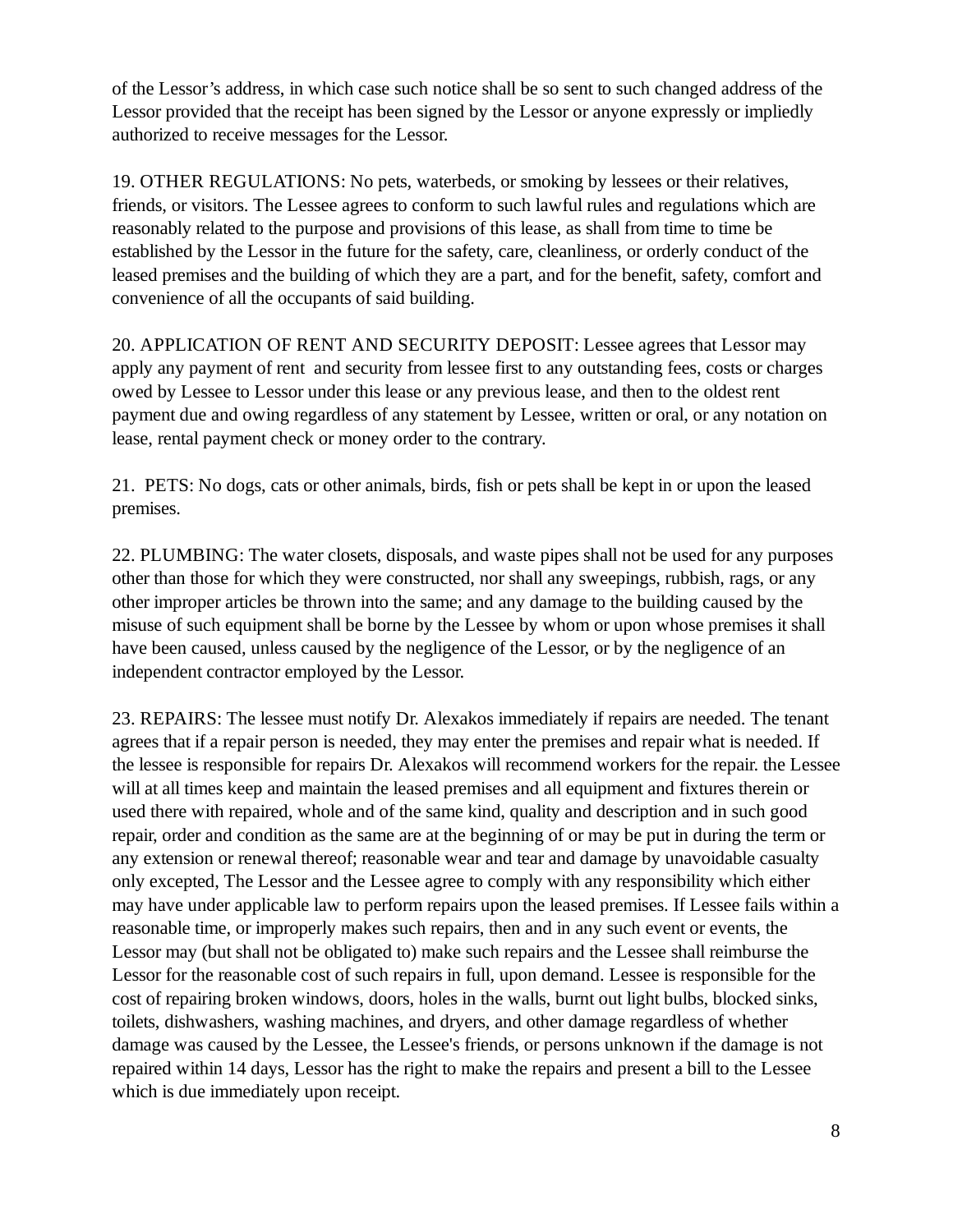of the Lessor's address, in which case such notice shall be so sent to such changed address of the Lessor provided that the receipt has been signed by the Lessor or anyone expressly or impliedly authorized to receive messages for the Lessor.

19. OTHER REGULATIONS: No pets, waterbeds, or smoking by lessees or their relatives, friends, or visitors. The Lessee agrees to conform to such lawful rules and regulations which are reasonably related to the purpose and provisions of this lease, as shall from time to time be established by the Lessor in the future for the safety, care, cleanliness, or orderly conduct of the leased premises and the building of which they are a part, and for the benefit, safety, comfort and convenience of all the occupants of said building.

20. APPLICATION OF RENT AND SECURITY DEPOSIT: Lessee agrees that Lessor may apply any payment of rent and security from lessee first to any outstanding fees, costs or charges owed by Lessee to Lessor under this lease or any previous lease, and then to the oldest rent payment due and owing regardless of any statement by Lessee, written or oral, or any notation on lease, rental payment check or money order to the contrary.

21. PETS: No dogs, cats or other animals, birds, fish or pets shall be kept in or upon the leased premises.

22. PLUMBING: The water closets, disposals, and waste pipes shall not be used for any purposes other than those for which they were constructed, nor shall any sweepings, rubbish, rags, or any other improper articles be thrown into the same; and any damage to the building caused by the misuse of such equipment shall be borne by the Lessee by whom or upon whose premises it shall have been caused, unless caused by the negligence of the Lessor, or by the negligence of an independent contractor employed by the Lessor.

23. REPAIRS: The lessee must notify Dr. Alexakos immediately if repairs are needed. The tenant agrees that if a repair person is needed, they may enter the premises and repair what is needed. If the lessee is responsible for repairs Dr. Alexakos will recommend workers for the repair. the Lessee will at all times keep and maintain the leased premises and all equipment and fixtures therein or used there with repaired, whole and of the same kind, quality and description and in such good repair, order and condition as the same are at the beginning of or may be put in during the term or any extension or renewal thereof; reasonable wear and tear and damage by unavoidable casualty only excepted, The Lessor and the Lessee agree to comply with any responsibility which either may have under applicable law to perform repairs upon the leased premises. If Lessee fails within a reasonable time, or improperly makes such repairs, then and in any such event or events, the Lessor may (but shall not be obligated to) make such repairs and the Lessee shall reimburse the Lessor for the reasonable cost of such repairs in full, upon demand. Lessee is responsible for the cost of repairing broken windows, doors, holes in the walls, burnt out light bulbs, blocked sinks, toilets, dishwashers, washing machines, and dryers, and other damage regardless of whether damage was caused by the Lessee, the Lessee's friends, or persons unknown if the damage is not repaired within 14 days, Lessor has the right to make the repairs and present a bill to the Lessee which is due immediately upon receipt.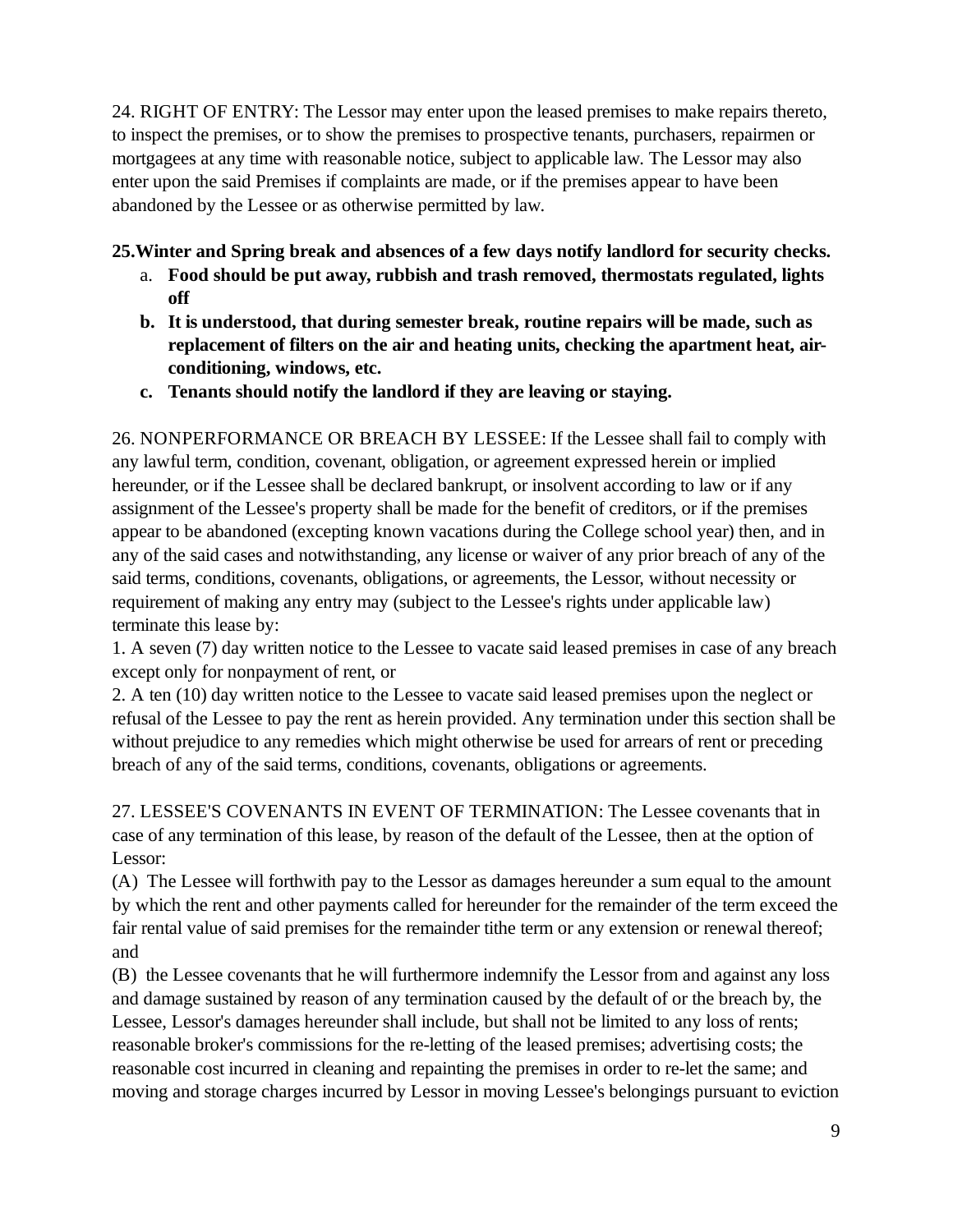24. RIGHT OF ENTRY: The Lessor may enter upon the leased premises to make repairs thereto, to inspect the premises, or to show the premises to prospective tenants, purchasers, repairmen or mortgagees at any time with reasonable notice, subject to applicable law. The Lessor may also enter upon the said Premises if complaints are made, or if the premises appear to have been abandoned by the Lessee or as otherwise permitted by law.

## **25.Winter and Spring break and absences of a few days notify landlord for security checks.**

- **Food should be put away, rubbish and trash removed, thermostats regulated, lights** a. **off**
- **It is understood, that during semester break, routine repairs will be made, such as b. replacement of filters on the air and heating units, checking the apartment heat, airconditioning, windows, etc.**
- **c. Tenants should notify the landlord if they are leaving or staying.**

26. NONPERFORMANCE OR BREACH BY LESSEE: If the Lessee shall fail to comply with any lawful term, condition, covenant, obligation, or agreement expressed herein or implied hereunder, or if the Lessee shall be declared bankrupt, or insolvent according to law or if any assignment of the Lessee's property shall be made for the benefit of creditors, or if the premises appear to be abandoned (excepting known vacations during the College school year) then, and in any of the said cases and notwithstanding, any license or waiver of any prior breach of any of the said terms, conditions, covenants, obligations, or agreements, the Lessor, without necessity or requirement of making any entry may (subject to the Lessee's rights under applicable law) terminate this lease by:

1. A seven (7) day written notice to the Lessee to vacate said leased premises in case of any breach except only for nonpayment of rent, or

2. A ten (10) day written notice to the Lessee to vacate said leased premises upon the neglect or refusal of the Lessee to pay the rent as herein provided. Any termination under this section shall be without prejudice to any remedies which might otherwise be used for arrears of rent or preceding breach of any of the said terms, conditions, covenants, obligations or agreements.

27. LESSEE'S COVENANTS IN EVENT OF TERMINATION: The Lessee covenants that in case of any termination of this lease, by reason of the default of the Lessee, then at the option of Lessor:

(A) The Lessee will forthwith pay to the Lessor as damages hereunder a sum equal to the amount by which the rent and other payments called for hereunder for the remainder of the term exceed the fair rental value of said premises for the remainder tithe term or any extension or renewal thereof; and

(B) the Lessee covenants that he will furthermore indemnify the Lessor from and against any loss and damage sustained by reason of any termination caused by the default of or the breach by, the Lessee, Lessor's damages hereunder shall include, but shall not be limited to any loss of rents; reasonable broker's commissions for the re-letting of the leased premises; advertising costs; the reasonable cost incurred in cleaning and repainting the premises in order to re-let the same; and moving and storage charges incurred by Lessor in moving Lessee's belongings pursuant to eviction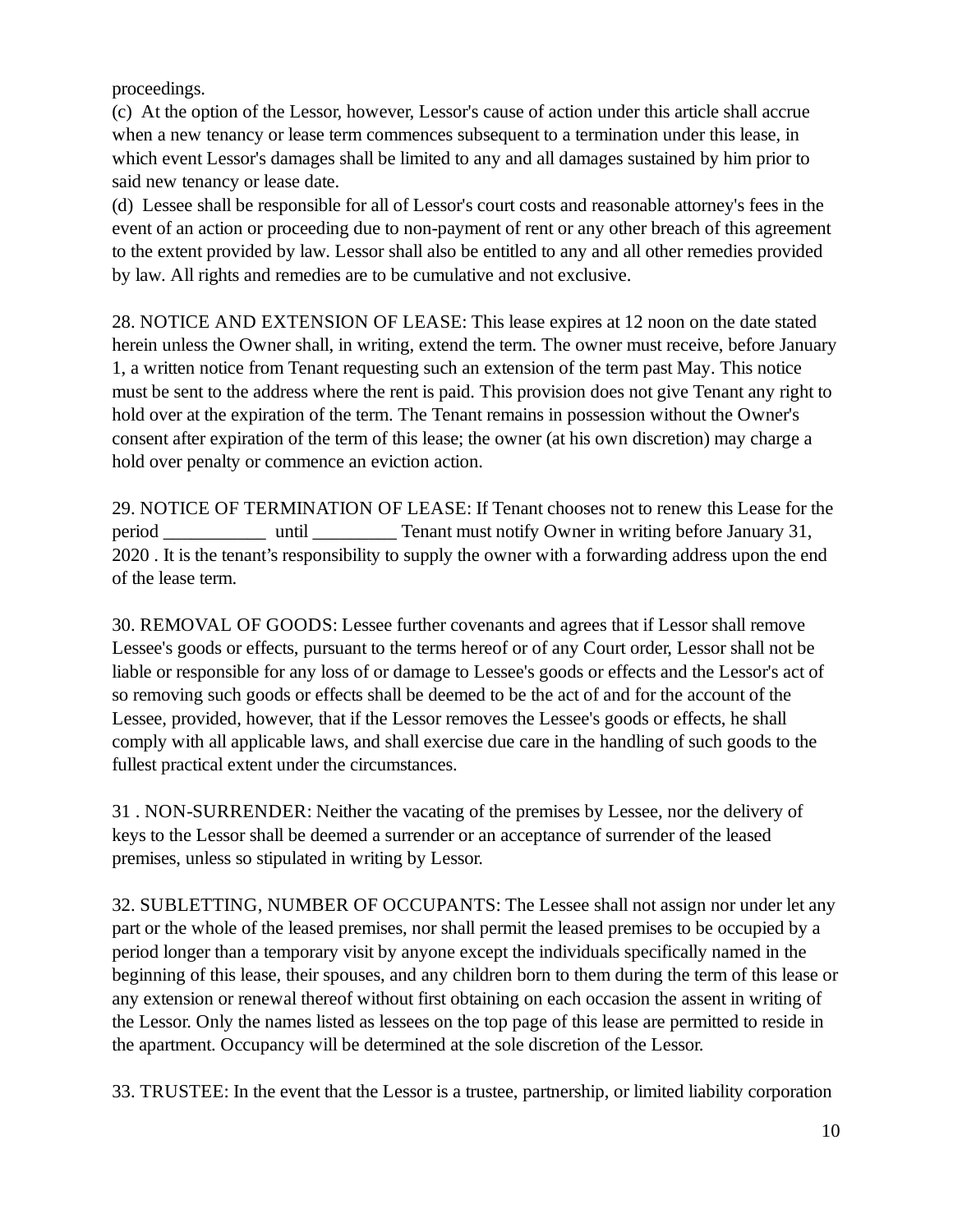proceedings.

(c) At the option of the Lessor, however, Lessor's cause of action under this article shall accrue when a new tenancy or lease term commences subsequent to a termination under this lease, in which event Lessor's damages shall be limited to any and all damages sustained by him prior to said new tenancy or lease date.

(d) Lessee shall be responsible for all of Lessor's court costs and reasonable attorney's fees in the event of an action or proceeding due to non-payment of rent or any other breach of this agreement to the extent provided by law. Lessor shall also be entitled to any and all other remedies provided by law. All rights and remedies are to be cumulative and not exclusive.

28. NOTICE AND EXTENSION OF LEASE: This lease expires at 12 noon on the date stated herein unless the Owner shall, in writing, extend the term. The owner must receive, before January 1, a written notice from Tenant requesting such an extension of the term past May. This notice must be sent to the address where the rent is paid. This provision does not give Tenant any right to hold over at the expiration of the term. The Tenant remains in possession without the Owner's consent after expiration of the term of this lease; the owner (at his own discretion) may charge a hold over penalty or commence an eviction action.

29. NOTICE OF TERMINATION OF LEASE: If Tenant chooses not to renew this Lease for the period **until Tenant must notify Owner in writing before January 31,** 2020 . It is the tenant's responsibility to supply the owner with a forwarding address upon the end of the lease term.

30. REMOVAL OF GOODS: Lessee further covenants and agrees that if Lessor shall remove Lessee's goods or effects, pursuant to the terms hereof or of any Court order, Lessor shall not be liable or responsible for any loss of or damage to Lessee's goods or effects and the Lessor's act of so removing such goods or effects shall be deemed to be the act of and for the account of the Lessee, provided, however, that if the Lessor removes the Lessee's goods or effects, he shall comply with all applicable laws, and shall exercise due care in the handling of such goods to the fullest practical extent under the circumstances.

31 . NON-SURRENDER: Neither the vacating of the premises by Lessee, nor the delivery of keys to the Lessor shall be deemed a surrender or an acceptance of surrender of the leased premises, unless so stipulated in writing by Lessor.

32. SUBLETTING, NUMBER OF OCCUPANTS: The Lessee shall not assign nor under let any part or the whole of the leased premises, nor shall permit the leased premises to be occupied by a period longer than a temporary visit by anyone except the individuals specifically named in the beginning of this lease, their spouses, and any children born to them during the term of this lease or any extension or renewal thereof without first obtaining on each occasion the assent in writing of the Lessor. Only the names listed as lessees on the top page of this lease are permitted to reside in the apartment. Occupancy will be determined at the sole discretion of the Lessor.

33. TRUSTEE: In the event that the Lessor is a trustee, partnership, or limited liability corporation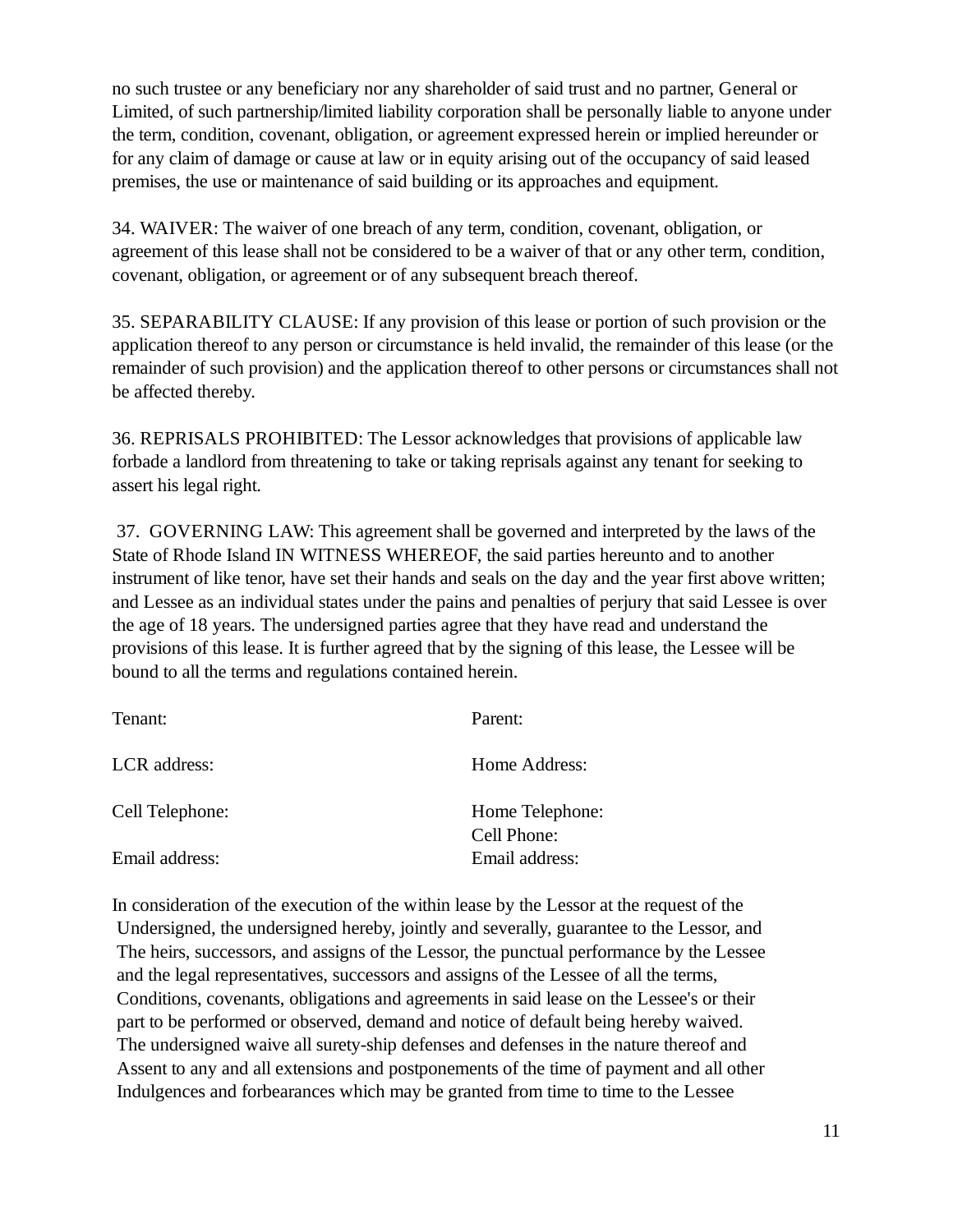no such trustee or any beneficiary nor any shareholder of said trust and no partner, General or Limited, of such partnership/limited liability corporation shall be personally liable to anyone under the term, condition, covenant, obligation, or agreement expressed herein or implied hereunder or for any claim of damage or cause at law or in equity arising out of the occupancy of said leased premises, the use or maintenance of said building or its approaches and equipment.

34. WAIVER: The waiver of one breach of any term, condition, covenant, obligation, or agreement of this lease shall not be considered to be a waiver of that or any other term, condition, covenant, obligation, or agreement or of any subsequent breach thereof.

35. SEPARABILITY CLAUSE: If any provision of this lease or portion of such provision or the application thereof to any person or circumstance is held invalid, the remainder of this lease (or the remainder of such provision) and the application thereof to other persons or circumstances shall not be affected thereby.

36. REPRISALS PROHIBITED: The Lessor acknowledges that provisions of applicable law forbade a landlord from threatening to take or taking reprisals against any tenant for seeking to assert his legal right.

 37. GOVERNING LAW: This agreement shall be governed and interpreted by the laws of the State of Rhode Island IN WITNESS WHEREOF, the said parties hereunto and to another instrument of like tenor, have set their hands and seals on the day and the year first above written; and Lessee as an individual states under the pains and penalties of perjury that said Lessee is over the age of 18 years. The undersigned parties agree that they have read and understand the provisions of this lease. It is further agreed that by the signing of this lease, the Lessee will be bound to all the terms and regulations contained herein.

| Tenant:         | Parent:                        |
|-----------------|--------------------------------|
| LCR address:    | Home Address:                  |
| Cell Telephone: | Home Telephone:<br>Cell Phone: |
| Email address:  | Email address:                 |

In consideration of the execution of the within lease by the Lessor at the request of the Undersigned, the undersigned hereby, jointly and severally, guarantee to the Lessor, and The heirs, successors, and assigns of the Lessor, the punctual performance by the Lessee and the legal representatives, successors and assigns of the Lessee of all the terms, Conditions, covenants, obligations and agreements in said lease on the Lessee's or their part to be performed or observed, demand and notice of default being hereby waived. The undersigned waive all surety-ship defenses and defenses in the nature thereof and Assent to any and all extensions and postponements of the time of payment and all other Indulgences and forbearances which may be granted from time to time to the Lessee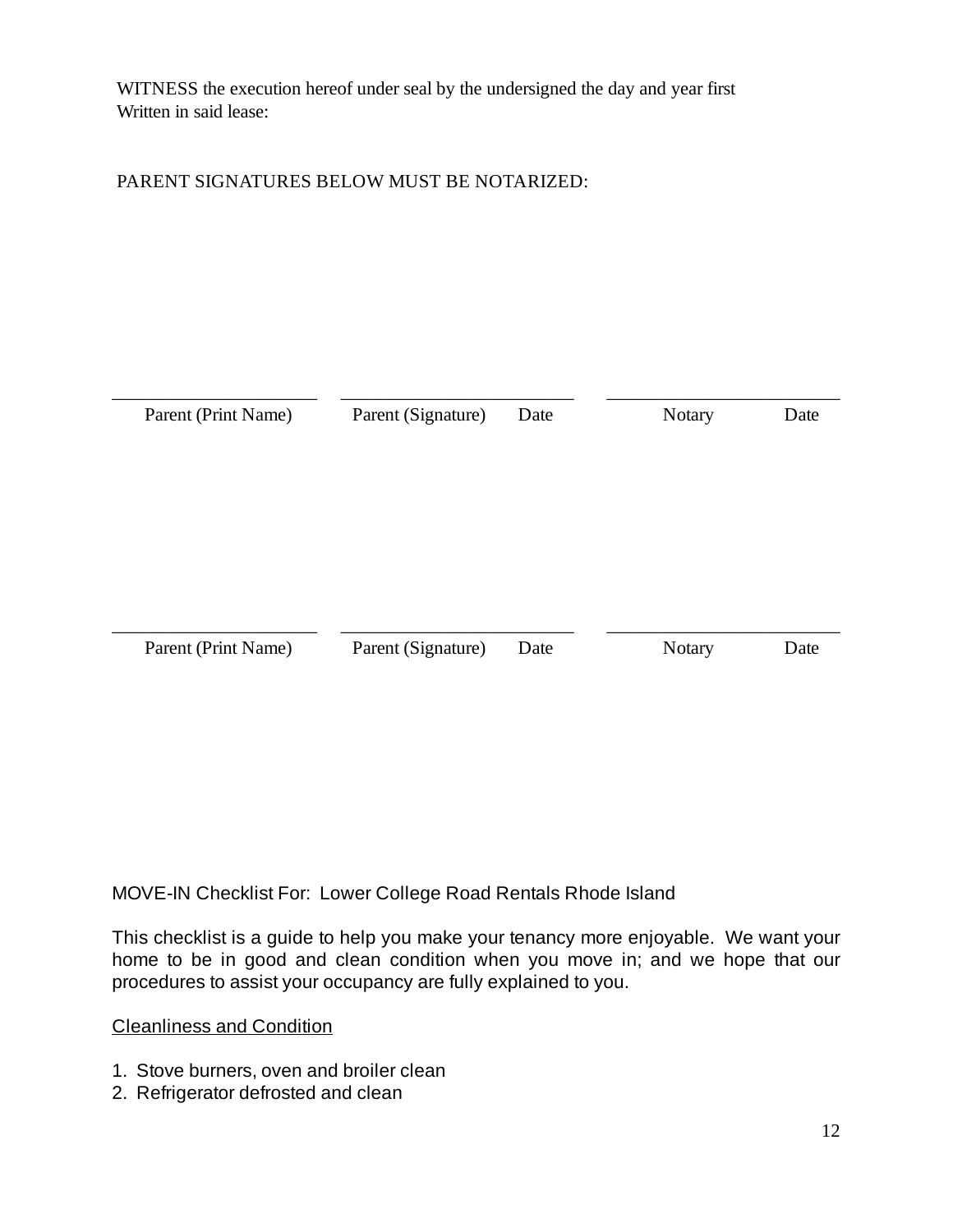WITNESS the execution hereof under seal by the undersigned the day and year first Written in said lease:

#### PARENT SIGNATURES BELOW MUST BE NOTARIZED:



MOVE-IN Checklist For: Lower College Road Rentals Rhode Island

This checklist is a guide to help you make your tenancy more enjoyable. We want your home to be in good and clean condition when you move in; and we hope that our procedures to assist your occupancy are fully explained to you.

Cleanliness and Condition

- 1. Stove burners, oven and broiler clean
- 2. Refrigerator defrosted and clean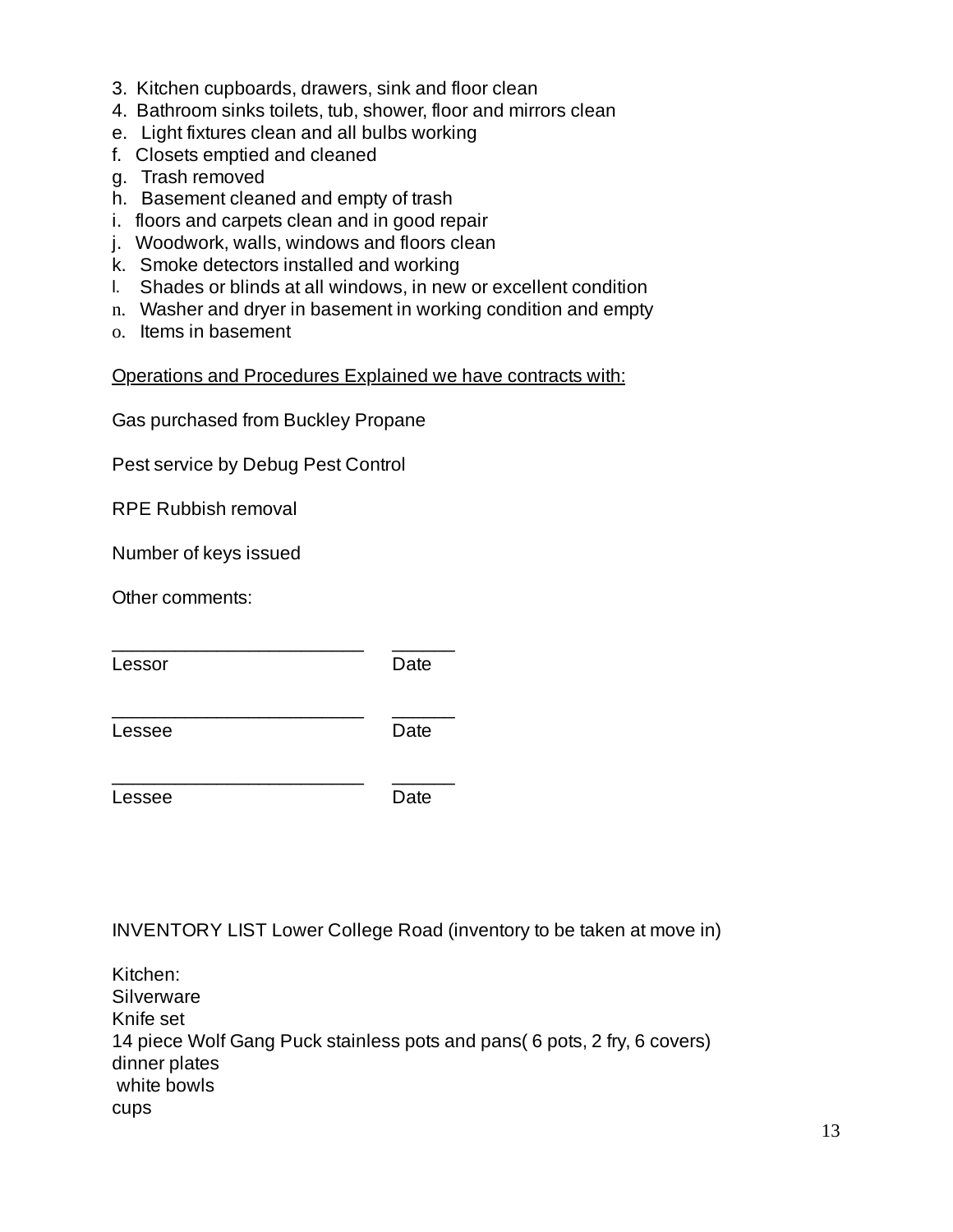- 3. Kitchen cupboards, drawers, sink and floor clean
- 4. Bathroom sinks toilets, tub, shower, floor and mirrors clean
- e. Light fixtures clean and all bulbs working
- f. Closets emptied and cleaned
- g. Trash removed
- h. Basement cleaned and empty of trash
- i. floors and carpets clean and in good repair
- j. Woodwork, walls, windows and floors clean
- k. Smoke detectors installed and working
- l. Shades or blinds at all windows, in new or excellent condition
- n. Washer and dryer in basement in working condition and empty
- o. Items in basement

Operations and Procedures Explained we have contracts with:

Gas purchased from Buckley Propane

Pest service by Debug Pest Control

\_\_\_\_\_\_\_\_\_\_\_\_\_\_\_\_\_\_\_\_\_\_\_\_ \_\_\_\_\_\_

RPE Rubbish removal

Number of keys issued

Other comments:

Lessor Date

\_\_\_\_\_\_\_\_\_\_\_\_\_\_\_\_\_\_\_\_\_\_\_\_ \_\_\_\_\_\_

Lessee Date

\_\_\_\_\_\_\_\_\_\_\_\_\_\_\_\_\_\_\_\_\_\_\_\_ \_\_\_\_\_\_

Lessee Date

# INVENTORY LIST Lower College Road (inventory to be taken at move in)

Kitchen: **Silverware** Knife set 14 piece Wolf Gang Puck stainless pots and pans( 6 pots, 2 fry, 6 covers) dinner plates white bowls cups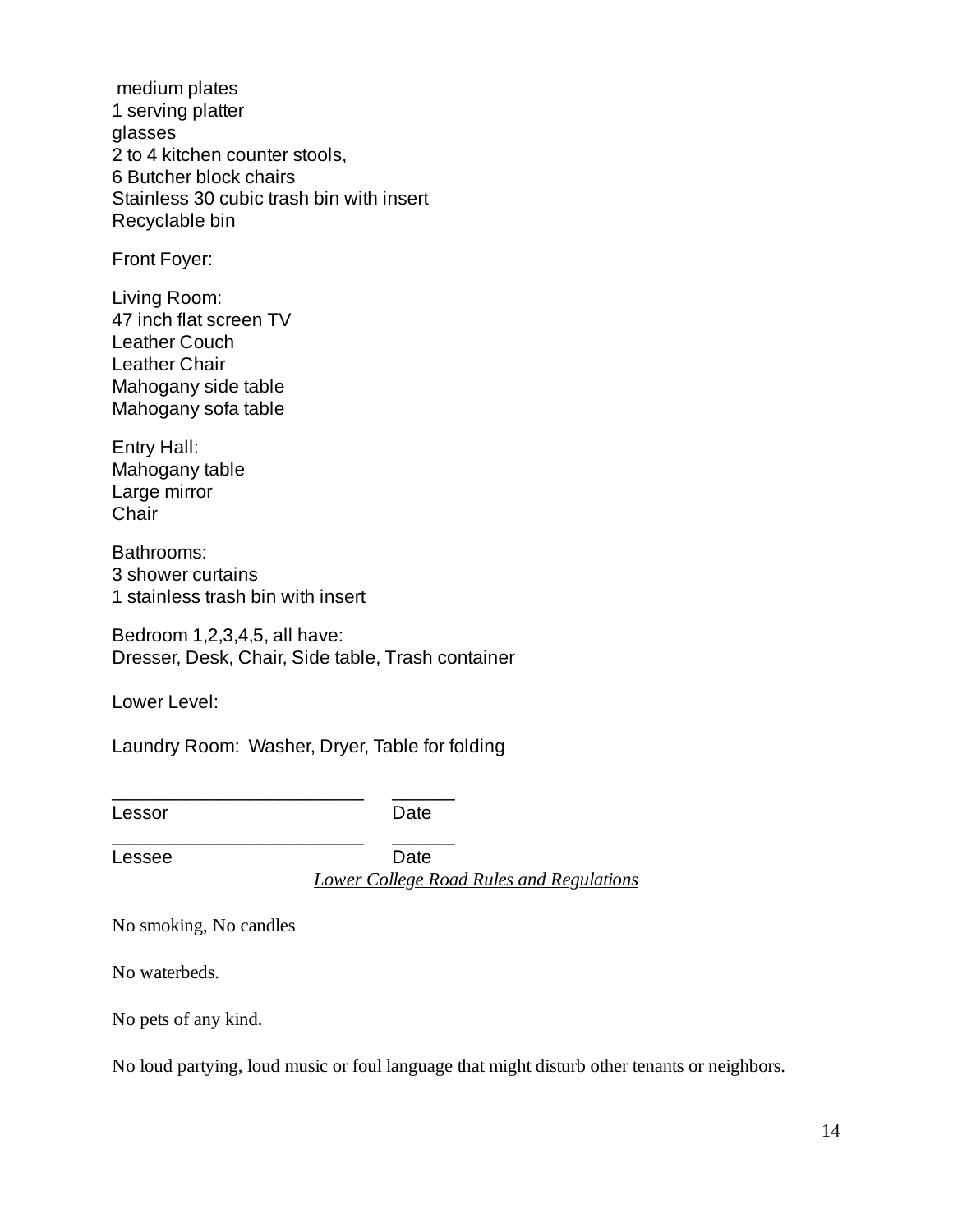medium plates 1 serving platter glasses 2 to 4 kitchen counter stools, 6 Butcher block chairs Stainless 30 cubic trash bin with insert Recyclable bin

Front Foyer:

Living Room: 47 inch flat screen TV Leather Couch Leather Chair Mahogany side table Mahogany sofa table

Entry Hall: Mahogany table Large mirror **Chair** 

Bathrooms: 3 shower curtains 1 stainless trash bin with insert

Bedroom 1,2,3,4,5, all have: Dresser, Desk, Chair, Side table, Trash container

Lower Level:

Laundry Room: Washer, Dryer, Table for folding

\_\_\_\_\_\_\_\_\_\_\_\_\_\_\_\_\_\_\_\_\_\_\_\_ \_\_\_\_\_\_

Lessor Date

\_\_\_\_\_\_\_\_\_\_\_\_\_\_\_\_\_\_\_\_\_\_\_\_ \_\_\_\_\_\_

Lessee Date *Lower College Road Rules and Regulations*

No smoking, No candles

No waterbeds.

No pets of any kind.

No loud partying, loud music or foul language that might disturb other tenants or neighbors.